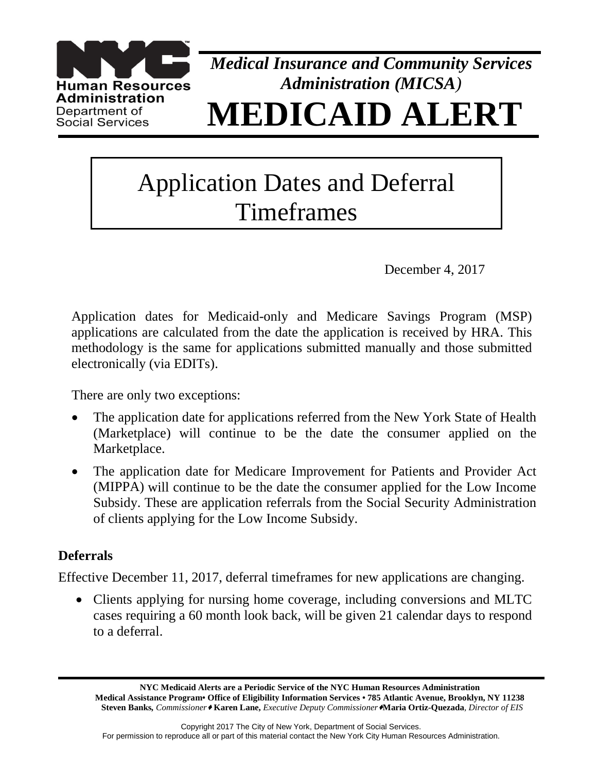

*Medical Insurance and Community Services Administration (MICSA)* **MEDICAID ALERT**

# Application Dates and Deferral Timeframes

December 4, 2017

Application dates for Medicaid-only and Medicare Savings Program (MSP) applications are calculated from the date the application is received by HRA. This methodology is the same for applications submitted manually and those submitted electronically (via EDITs).

There are only two exceptions:

- The application date for applications referred from the New York State of Health (Marketplace) will continue to be the date the consumer applied on the Marketplace.
- The application date for Medicare Improvement for Patients and Provider Act (MIPPA) will continue to be the date the consumer applied for the Low Income Subsidy. These are application referrals from the Social Security Administration of clients applying for the Low Income Subsidy.

## **Deferrals**

Effective December 11, 2017, deferral timeframes for new applications are changing.

• Clients applying for nursing home coverage, including conversions and MLTC cases requiring a 60 month look back, will be given 21 calendar days to respond to a deferral.

**NYC Medicaid Alerts are a Periodic Service of the NYC Human Resources Administration Medical Assistance Program• Office of Eligibility Information Services • 785 Atlantic Avenue, Brooklyn, NY 11238 Steven Banks***, Commissioner* **Karen Lane,** *Executive Deputy Commissioner***Maria Ortiz-Quezada***, Director of EIS*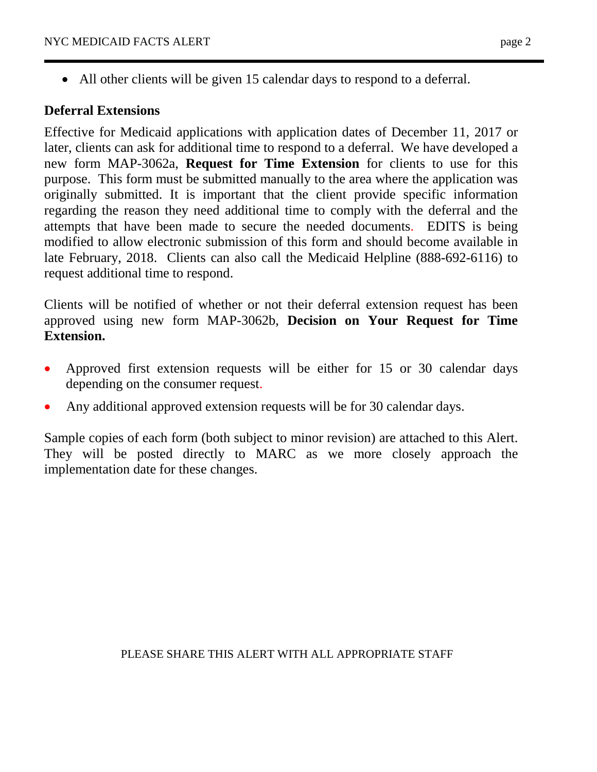• All other clients will be given 15 calendar days to respond to a deferral.

## **Deferral Extensions**

Effective for Medicaid applications with application dates of December 11, 2017 or later, clients can ask for additional time to respond to a deferral. We have developed a new form MAP-3062a, **Request for Time Extension** for clients to use for this purpose. This form must be submitted manually to the area where the application was originally submitted. It is important that the client provide specific information regarding the reason they need additional time to comply with the deferral and the attempts that have been made to secure the needed documents. EDITS is being modified to allow electronic submission of this form and should become available in late February, 2018. Clients can also call the Medicaid Helpline (888-692-6116) to request additional time to respond.

Clients will be notified of whether or not their deferral extension request has been approved using new form MAP-3062b, **Decision on Your Request for Time Extension.**

- Approved first extension requests will be either for 15 or 30 calendar days depending on the consumer request.
- Any additional approved extension requests will be for 30 calendar days.

Sample copies of each form (both subject to minor revision) are attached to this Alert. They will be posted directly to MARC as we more closely approach the implementation date for these changes.

## PLEASE SHARE THIS ALERT WITH ALL APPROPRIATE STAFF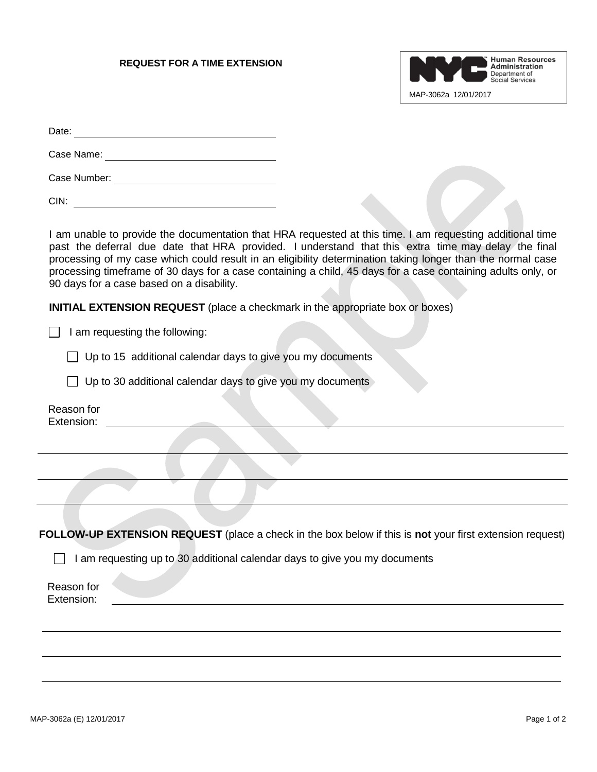### **REQUEST FOR A TIME EXTENSION**



| Date: |  |  |
|-------|--|--|
|       |  |  |

Case Name:

Case Number:

CIN:

I am unable to provide the documentation that HRA requested at this time. I am requesting additional time past the deferral due date that HRA provided. I understand that this extra time may delay the final processing of my case which could result in an eligibility determination taking longer than the normal case processing timeframe of 30 days for a case containing a child, 45 days for a case containing adults only, or 90 days for a case based on a disability.

**INITIAL EXTENSION REQUEST** (place a checkmark in the appropriate box or boxes)

 $\Box$  I am requesting the following:

 $\Box$  Up to 15 additional calendar days to give you my documents

 $\Box$  Up to 30 additional calendar days to give you my documents

 Reason for Extension:

 **FOLLOW-UP EXTENSION REQUEST** (place a check in the box below if this is **not** your first extension request)

I am requesting up to 30 additional calendar days to give you my documents

Reason for Extension: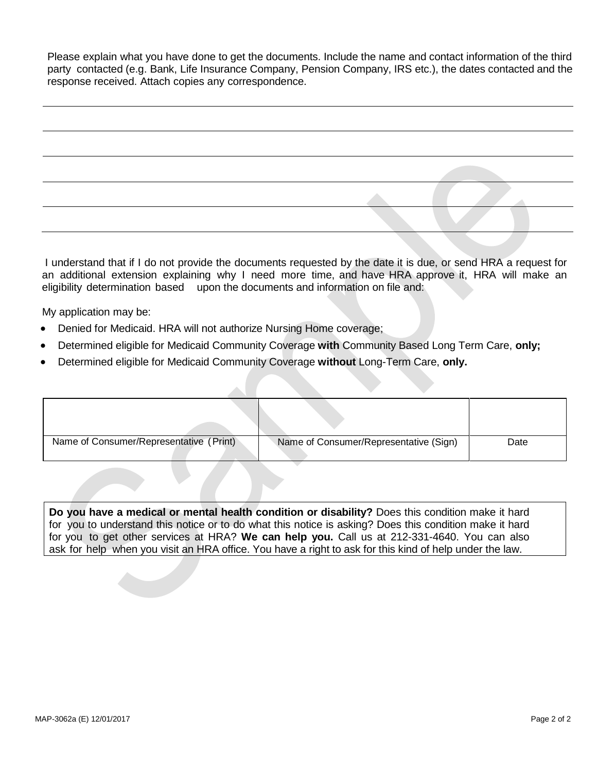Please explain what you have done to get the documents. Include the name and contact information of the third party contacted (e.g. Bank, Life Insurance Company, Pension Company, IRS etc.), the dates contacted and the response received. Attach copies any correspondence.

I understand that if I do not provide the documents requested by the date it is due, or send HRA a request for an additional extension explaining why I need more time, and have HRA approve it, HRA will make an eligibility determination based upon the documents and information on file and:

My application may be:

- Denied for Medicaid. HRA will not authorize Nursing Home coverage;
- Determined eligible for Medicaid Community Coverage **with** Community Based Long Term Care, **only;**
- Determined eligible for Medicaid Community Coverage **without** Long-Term Care, **only.**

| Name of Consumer/Representative (Print) | Name of Consumer/Representative (Sign) | Date |
|-----------------------------------------|----------------------------------------|------|

**Do you have a medical or mental health condition or disability?** Does this condition make it hard for you to understand this notice or to do what this notice is asking? Does this condition make it hard for you to get other services at HRA? **We can help you.** Call us at 212-331-4640. You can also ask for help when you visit an HRA office. You have a right to ask for this kind of help under the law.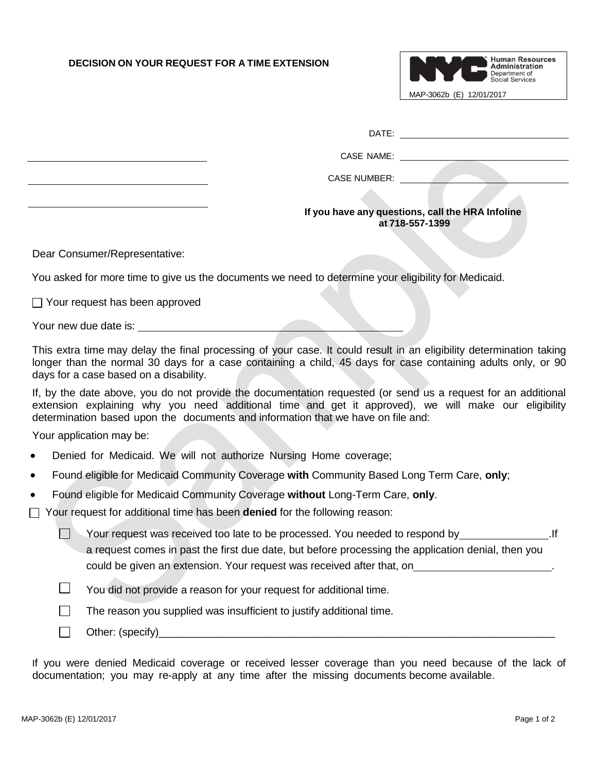### **DECISION ON YOUR REQUEST FOR A TIME EXTENSION**



DATE:

CASE NAME:

CASE NUMBER: **CASE NUMBER:** 

### **If you have any questions, call the HRA Infoline at 718-557-1399**

Dear Consumer/Representative:

You asked for more time to give us the documents we need to determine your eligibility for Medicaid.

 $\Box$  Your request has been approved

Your new due date is:<br>
Source of the state is:

This extra time may delay the final processing of your case. It could result in an eligibility determination taking longer than the normal 30 days for a case containing a child, 45 days for case containing adults only, or 90 days for a case based on a disability.

If, by the date above, you do not provide the documentation requested (or send us a request for an additional extension explaining why you need additional time and get it approved), we will make our eligibility determination based upon the documents and information that we have on file and:

Your application may be:

- Denied for Medicaid. We will not authorize Nursing Home coverage;
- Found eligible for Medicaid Community Coverage **with** Community Based Long Term Care, **only**;
- Found eligible for Medicaid Community Coverage **without** Long-Term Care, **only**.

Your request for additional time has been **denied** for the following reason:

| Your request was received too late to be processed. You needed to respond by                       |  |
|----------------------------------------------------------------------------------------------------|--|
| a request comes in past the first due date, but before processing the application denial, then you |  |
| could be given an extension. Your request was received after that, on                              |  |

- $\Box$ You did not provide a reason for your request for additional time.
- $\Box$ The reason you supplied was insufficient to justify additional time.
- $\Box$ Other: (specify)

If you were denied Medicaid coverage or received lesser coverage than you need because of the lack of documentation; you may re-apply at any time after the missing documents become available.

 $\Box$